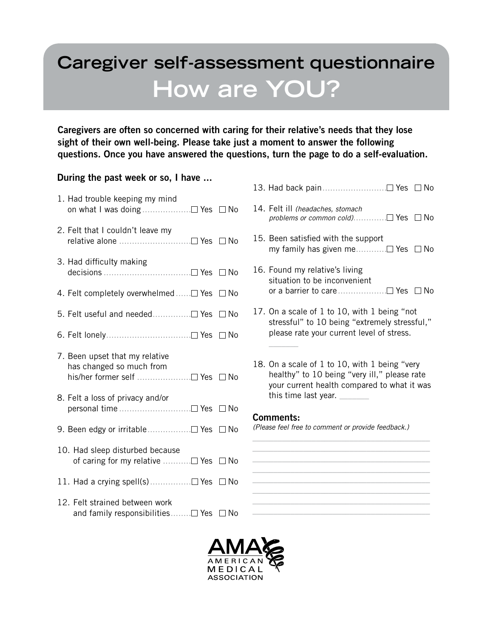# **Caregiver self-assessment questionnaire How are YOU?**

Caregivers are often so concerned with caring for their relative's needs that they lose sight of their own well-being. Please take just a moment to answer the following questions. Once you have answered the questions, turn the page to do a self-evaluation.

## During the past week or so, I have ...

- 1. Had trouble keeping my mind on what I was doing  $\dots \dots \dots \dots \dots \square$  Yes  $\square$  No
- 2. Felt that I couldn't leave my relative alone .............................□ Yes □ No
- 3. Had difficulty making decisions .................................. Yes No
- 4. Felt completely overwhelmed...... $\Box$  Yes  $\Box$  No
- 5. Felt useful and needed............... Yes No
- 6. Felt lonely...................................□ Yes □ No
- 7. Been upset that my relative has changed so much from his/her former self ......................□ Yes □ No
- 8. Felt a loss of privacy and/or personal time ............................ Yes No
- 9. Been edgy or irritable................□ Yes □ No
- 10. Had sleep disturbed because of caring for my relative  $\dots\dots\dots \square$  Yes  $\square$  No
- 11. Had a crying spell(s)................ Yes No
- 12. Felt strained between work and family responsibilities........ $\Box$  Yes  $\Box$  No
- 13. Had back pain......................... Yes No
- 14. Felt ill *(headaches, stomach problems or common cold*).............□ Yes □ No
- 15. Been satisfied with the support my family has given me............ Yes No
- 16. Found my relative's living situation to be inconvenient or a barrier to care....................□ Yes □ No
- 17. On a scale of 1 to 10, with 1 being "not stressful" to 10 being "extremely stressful," please rate your current level of stress.
- 18. On a scale of 1 to 10, with 1 being "very healthy" to 10 being "very ill," please rate your current health compared to what it was this time last year. \_\_\_\_\_\_\_

*\_\_\_\_\_\_\_\_\_\_\_\_\_\_\_\_\_\_\_\_\_\_\_\_\_\_\_\_\_\_\_\_\_\_\_\_\_\_\_\_\_\_ \_\_\_\_\_\_\_\_\_\_\_\_\_\_\_\_\_\_\_\_\_\_\_\_\_\_\_\_\_\_\_\_\_\_\_\_\_\_\_\_\_\_ \_\_\_\_\_\_\_\_\_\_\_\_\_\_\_\_\_\_\_\_\_\_\_\_\_\_\_\_\_\_\_\_\_\_\_\_\_\_\_\_\_\_ \_\_\_\_\_\_\_\_\_\_\_\_\_\_\_\_\_\_\_\_\_\_\_\_\_\_\_\_\_\_\_\_\_\_\_\_\_\_\_\_\_\_ \_\_\_\_\_\_\_\_\_\_\_\_\_\_\_\_\_\_\_\_\_\_\_\_\_\_\_\_\_\_\_\_\_\_\_\_\_\_\_\_\_\_ \_\_\_\_\_\_\_\_\_\_\_\_\_\_\_\_\_\_\_\_\_\_\_\_\_\_\_\_\_\_\_\_\_\_\_\_\_\_\_\_\_\_ \_\_\_\_\_\_\_\_\_\_\_\_\_\_\_\_\_\_\_\_\_\_\_\_\_\_\_\_\_\_\_\_\_\_\_\_\_\_\_\_\_\_ \_\_\_\_\_\_\_\_\_\_\_\_\_\_\_\_\_\_\_\_\_\_\_\_\_\_\_\_\_\_\_\_\_\_\_\_\_\_\_\_\_\_*

## Comments:

 $\overline{\phantom{a}}$ 

*(Please feel free to comment or provide feedback.)*